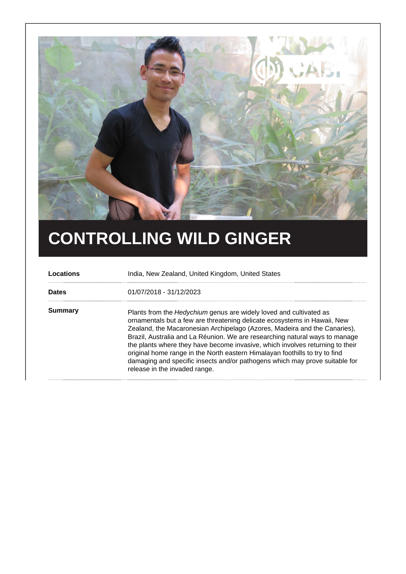

## **CONTROLLING WILD GINGER**

| Locations    | India, New Zealand, United Kingdom, United States                                                                                                                                                                                                                                                                                                                                                                                                                                                                                                                                          |
|--------------|--------------------------------------------------------------------------------------------------------------------------------------------------------------------------------------------------------------------------------------------------------------------------------------------------------------------------------------------------------------------------------------------------------------------------------------------------------------------------------------------------------------------------------------------------------------------------------------------|
| <b>Dates</b> | 01/07/2018 - 31/12/2023                                                                                                                                                                                                                                                                                                                                                                                                                                                                                                                                                                    |
| Summary      | Plants from the Hedychium genus are widely loved and cultivated as<br>ornamentals but a few are threatening delicate ecosystems in Hawaii, New<br>Zealand, the Macaronesian Archipelago (Azores, Madeira and the Canaries),<br>Brazil, Australia and La Réunion. We are researching natural ways to manage<br>the plants where they have become invasive, which involves returning to their<br>original home range in the North eastern Himalayan foothills to try to find<br>damaging and specific insects and/or pathogens which may prove suitable for<br>release in the invaded range. |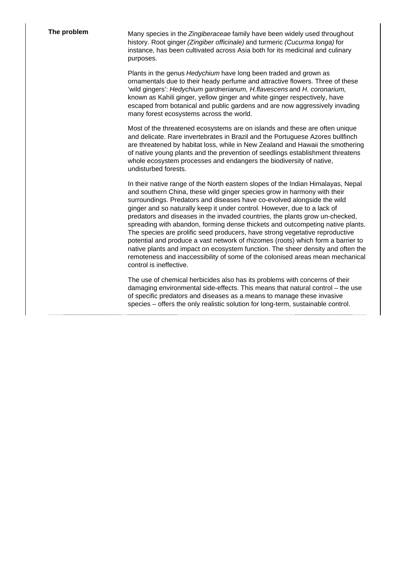**The problem** Many species in the Zingiberaceae family have been widely used throughout history. Root ginger (Zingiber officinale) and turmeric (Cucurma longa) for instance, has been cultivated across Asia both for its medicinal and culinary purposes.

> Plants in the genus Hedychium have long been traded and grown as ornamentals due to their heady perfume and attractive flowers. Three of these 'wild gingers': Hedychium gardnerianum, H.flavescens and H. coronarium, known as Kahili ginger, yellow ginger and white ginger respectively, have escaped from botanical and public gardens and are now aggressively invading many forest ecosystems across the world.

Most of the threatened ecosystems are on islands and these are often unique and delicate. Rare invertebrates in Brazil and the Portuguese Azores bullfinch are threatened by habitat loss, while in New Zealand and Hawaii the smothering of native young plants and the prevention of seedlings establishment threatens whole ecosystem processes and endangers the biodiversity of native, undisturbed forests.

In their native range of the North eastern slopes of the Indian Himalayas, Nepal and southern China, these wild ginger species grow in harmony with their surroundings. Predators and diseases have co-evolved alongside the wild ginger and so naturally keep it under control. However, due to a lack of predators and diseases in the invaded countries, the plants grow un-checked, spreading with abandon, forming dense thickets and outcompeting native plants. The species are prolific seed producers, have strong vegetative reproductive potential and produce a vast network of rhizomes (roots) which form a barrier to native plants and impact on ecosystem function. The sheer density and often the remoteness and inaccessibility of some of the colonised areas mean mechanical control is ineffective.

The use of chemical herbicides also has its problems with concerns of their damaging environmental side-effects. This means that natural control – the use of specific predators and diseases as a means to manage these invasive species – offers the only realistic solution for long-term, sustainable control.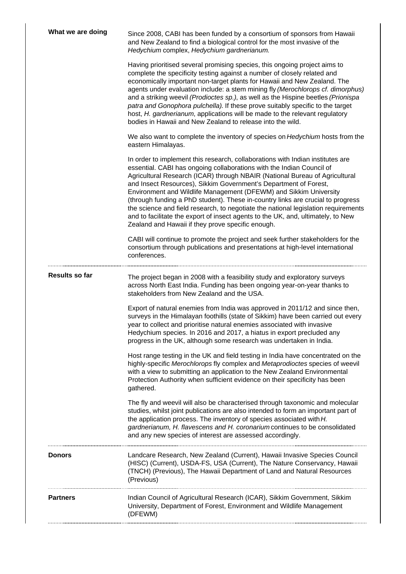| What we are doing     | Since 2008, CABI has been funded by a consortium of sponsors from Hawaii<br>and New Zealand to find a biological control for the most invasive of the<br>Hedychium complex, Hedychium gardnerianum.                                                                                                                                                                                                                                                                                                                                                                                                                                                                                               |
|-----------------------|---------------------------------------------------------------------------------------------------------------------------------------------------------------------------------------------------------------------------------------------------------------------------------------------------------------------------------------------------------------------------------------------------------------------------------------------------------------------------------------------------------------------------------------------------------------------------------------------------------------------------------------------------------------------------------------------------|
|                       | Having prioritised several promising species, this ongoing project aims to<br>complete the specificity testing against a number of closely related and<br>economically important non-target plants for Hawaii and New Zealand. The<br>agents under evaluation include: a stem mining fly (Merochlorops cf. dimorphus)<br>and a striking weevil (Prodioctes sp.), as well as the Hispine beetles (Prionispa<br>patra and Gonophora pulchella). If these prove suitably specific to the target<br>host, H. gardnerianum, applications will be made to the relevant regulatory<br>bodies in Hawaii and New Zealand to release into the wild.                                                         |
|                       | We also want to complete the inventory of species on <i>Hedychium</i> hosts from the<br>eastern Himalayas.                                                                                                                                                                                                                                                                                                                                                                                                                                                                                                                                                                                        |
|                       | In order to implement this research, collaborations with Indian institutes are<br>essential. CABI has ongoing collaborations with the Indian Council of<br>Agricultural Research (ICAR) through NBAIR (National Bureau of Agricultural<br>and Insect Resources), Sikkim Government's Department of Forest,<br>Environment and Wildlife Management (DFEWM) and Sikkim University<br>(through funding a PhD student). These in-country links are crucial to progress<br>the science and field research, to negotiate the national legislation requirements<br>and to facilitate the export of insect agents to the UK, and, ultimately, to New<br>Zealand and Hawaii if they prove specific enough. |
|                       | CABI will continue to promote the project and seek further stakeholders for the<br>consortium through publications and presentations at high-level international<br>conferences.                                                                                                                                                                                                                                                                                                                                                                                                                                                                                                                  |
| <b>Results so far</b> | The project began in 2008 with a feasibility study and exploratory surveys<br>across North East India. Funding has been ongoing year-on-year thanks to<br>stakeholders from New Zealand and the USA.                                                                                                                                                                                                                                                                                                                                                                                                                                                                                              |
|                       | Export of natural enemies from India was approved in 2011/12 and since then,<br>surveys in the Himalayan foothills (state of Sikkim) have been carried out every<br>year to collect and prioritise natural enemies associated with invasive<br>Hedychium species. In 2016 and 2017, a hiatus in export precluded any<br>progress in the UK, although some research was undertaken in India.                                                                                                                                                                                                                                                                                                       |
|                       | Host range testing in the UK and field testing in India have concentrated on the<br>highly-specific Merochlorops fly complex and Metaprodioctes species of weevil<br>with a view to submitting an application to the New Zealand Environmental<br>Protection Authority when sufficient evidence on their specificity has been<br>gathered.                                                                                                                                                                                                                                                                                                                                                        |
|                       | The fly and weevil will also be characterised through taxonomic and molecular<br>studies, whilst joint publications are also intended to form an important part of<br>the application process. The inventory of species associated with H.<br>gardnerianum, H. flavescens and H. coronarium continues to be consolidated<br>and any new species of interest are assessed accordingly.                                                                                                                                                                                                                                                                                                             |
| <b>Donors</b>         | Landcare Research, New Zealand (Current), Hawaii Invasive Species Council<br>(HISC) (Current), USDA-FS, USA (Current), The Nature Conservancy, Hawaii<br>(TNCH) (Previous), The Hawaii Department of Land and Natural Resources<br>(Previous)                                                                                                                                                                                                                                                                                                                                                                                                                                                     |
| <b>Partners</b>       | Indian Council of Agricultural Research (ICAR), Sikkim Government, Sikkim<br>University, Department of Forest, Environment and Wildlife Management<br>(DFEWM)                                                                                                                                                                                                                                                                                                                                                                                                                                                                                                                                     |